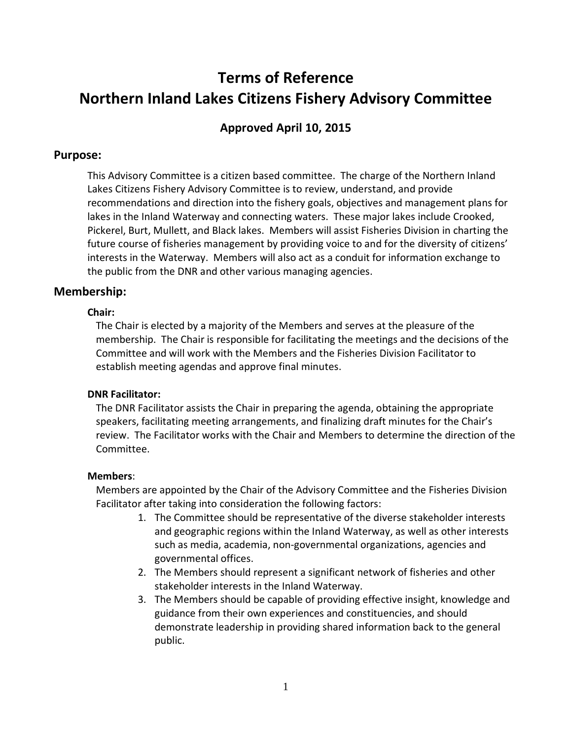# **Terms of Reference Northern Inland Lakes Citizens Fishery Advisory Committee**

# **Approved April 10, 2015**

# **Purpose:**

This Advisory Committee is a citizen based committee. The charge of the Northern Inland Lakes Citizens Fishery Advisory Committee is to review, understand, and provide recommendations and direction into the fishery goals, objectives and management plans for lakes in the Inland Waterway and connecting waters. These major lakes include Crooked, Pickerel, Burt, Mullett, and Black lakes. Members will assist Fisheries Division in charting the future course of fisheries management by providing voice to and for the diversity of citizens' interests in the Waterway. Members will also act as a conduit for information exchange to the public from the DNR and other various managing agencies.

# **Membership:**

#### **Chair:**

The Chair is elected by a majority of the Members and serves at the pleasure of the membership. The Chair is responsible for facilitating the meetings and the decisions of the Committee and will work with the Members and the Fisheries Division Facilitator to establish meeting agendas and approve final minutes.

# **DNR Facilitator:**

The DNR Facilitator assists the Chair in preparing the agenda, obtaining the appropriate speakers, facilitating meeting arrangements, and finalizing draft minutes for the Chair's review. The Facilitator works with the Chair and Members to determine the direction of the Committee.

# **Members**:

Members are appointed by the Chair of the Advisory Committee and the Fisheries Division Facilitator after taking into consideration the following factors:

- 1. The Committee should be representative of the diverse stakeholder interests and geographic regions within the Inland Waterway, as well as other interests such as media, academia, non-governmental organizations, agencies and governmental offices.
- 2. The Members should represent a significant network of fisheries and other stakeholder interests in the Inland Waterway.
- 3. The Members should be capable of providing effective insight, knowledge and guidance from their own experiences and constituencies, and should demonstrate leadership in providing shared information back to the general public.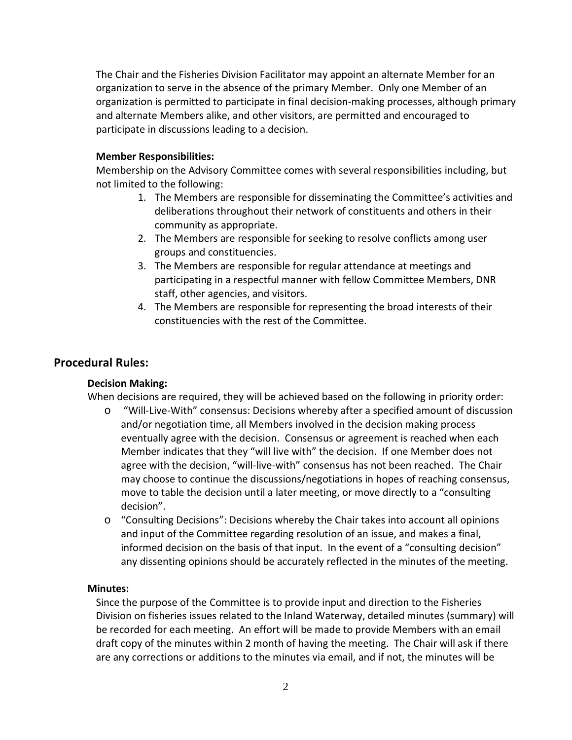The Chair and the Fisheries Division Facilitator may appoint an alternate Member for an organization to serve in the absence of the primary Member. Only one Member of an organization is permitted to participate in final decision-making processes, although primary and alternate Members alike, and other visitors, are permitted and encouraged to participate in discussions leading to a decision.

# **Member Responsibilities:**

Membership on the Advisory Committee comes with several responsibilities including, but not limited to the following:

- 1. The Members are responsible for disseminating the Committee's activities and deliberations throughout their network of constituents and others in their community as appropriate.
- 2. The Members are responsible for seeking to resolve conflicts among user groups and constituencies.
- 3. The Members are responsible for regular attendance at meetings and participating in a respectful manner with fellow Committee Members, DNR staff, other agencies, and visitors.
- 4. The Members are responsible for representing the broad interests of their constituencies with the rest of the Committee.

# **Procedural Rules:**

# **Decision Making:**

When decisions are required, they will be achieved based on the following in priority order:

- o "Will-Live-With" consensus: Decisions whereby after a specified amount of discussion and/or negotiation time, all Members involved in the decision making process eventually agree with the decision. Consensus or agreement is reached when each Member indicates that they "will live with" the decision. If one Member does not agree with the decision, "will-live-with" consensus has not been reached. The Chair may choose to continue the discussions/negotiations in hopes of reaching consensus, move to table the decision until a later meeting, or move directly to a "consulting decision".
- o "Consulting Decisions": Decisions whereby the Chair takes into account all opinions and input of the Committee regarding resolution of an issue, and makes a final, informed decision on the basis of that input. In the event of a "consulting decision" any dissenting opinions should be accurately reflected in the minutes of the meeting.

# **Minutes:**

Since the purpose of the Committee is to provide input and direction to the Fisheries Division on fisheries issues related to the Inland Waterway, detailed minutes (summary) will be recorded for each meeting. An effort will be made to provide Members with an email draft copy of the minutes within 2 month of having the meeting. The Chair will ask if there are any corrections or additions to the minutes via email, and if not, the minutes will be